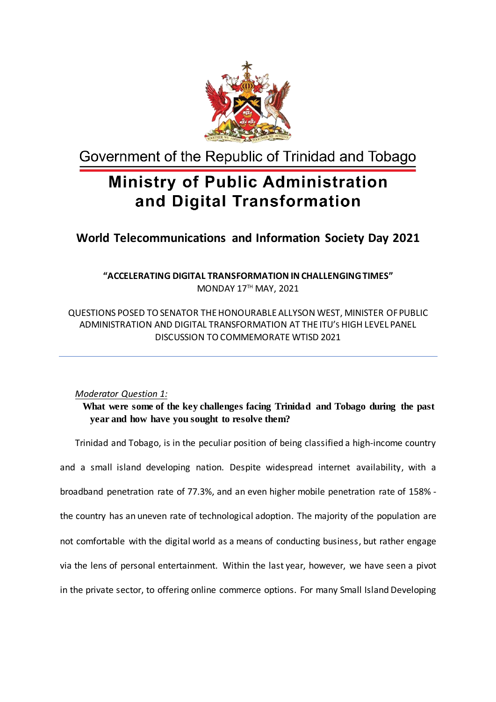

Government of the Republic of Trinidad and Tobago

# **Ministry of Public Administration** and Digital Transformation

### **World Telecommunications and Information Society Day 2021**

**"ACCELERATING DIGITAL TRANSFORMATION INCHALLENGINGTIMES"** MONDAY 17TH MAY, 2021

QUESTIONS POSED TOSENATOR THEHONOURABLE ALLYSON WEST, MINISTER OFPUBLIC ADMINISTRATION AND DIGITAL TRANSFORMATION AT THE ITU'S HIGH LEVEL PANEL DISCUSSION TOCOMMEMORATE WTISD 2021

#### *Moderator Question 1:*

 **What were some of the key challenges facing Trinidad and Tobago during the past year and how have you sought to resolve them?**

Trinidad and Tobago, is in the peculiar position of being classified a high-income country and a small island developing nation. Despite widespread internet availability, with a broadband penetration rate of 77.3%, and an even higher mobile penetration rate of 158% the country has an uneven rate of technological adoption. The majority of the population are not comfortable with the digital world as a means of conducting business, but rather engage via the lens of personal entertainment. Within the last year, however, we have seen a pivot in the private sector, to offering online commerce options. For many Small Island Developing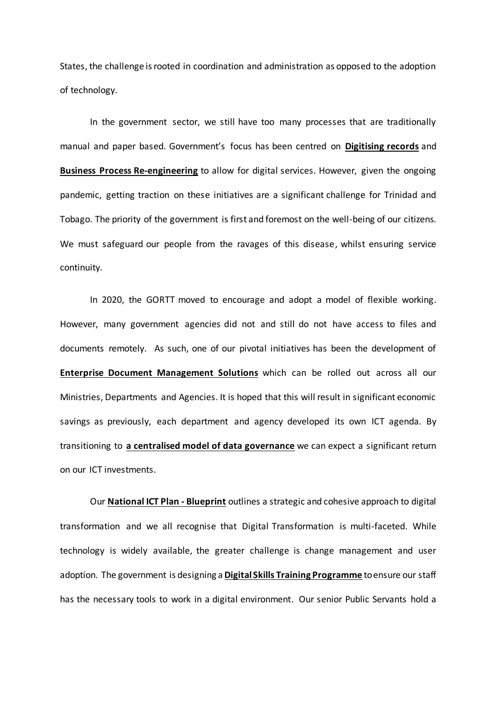States, the challenge isrooted in coordination and administration as opposed to the adoption of technology.

In the government sector, we still have too many processes that are traditionally manual and paper based. Government's focus has been centred on **Digitising records** and **Business Process Re-engineering** to allow for digital services. However, given the ongoing pandemic, getting traction on these initiatives are a significant challenge for Trinidad and Tobago. The priority of the government is first and foremost on the well-being of our citizens. We must safeguard our people from the ravages of this disease, whilst ensuring service continuity.

In 2020, the GORTT moved to encourage and adopt a model of flexible working. However, many government agencies did not and still do not have access to files and documents remotely. As such, one of our pivotal initiatives has been the development of **Enterprise Document Management Solutions** which can be rolled out across all our Ministries, Departments and Agencies. It is hoped that this will result in significant economic savings as previously, each department and agency developed its own ICT agenda. By transitioning to **a centralised model of data governance** we can expect a significant return on our ICT investments.

Our **National ICT Plan - Blueprint** outlines a strategic and cohesive approach to digital transformation and we all recognise that Digital Transformation is multi-faceted. While technology is widely available, the greater challenge is change management and user adoption. The government is designing a **Digital Skills Training Programme** to ensure our staff has the necessary tools to work in a digital environment. Our senior Public Servants hold a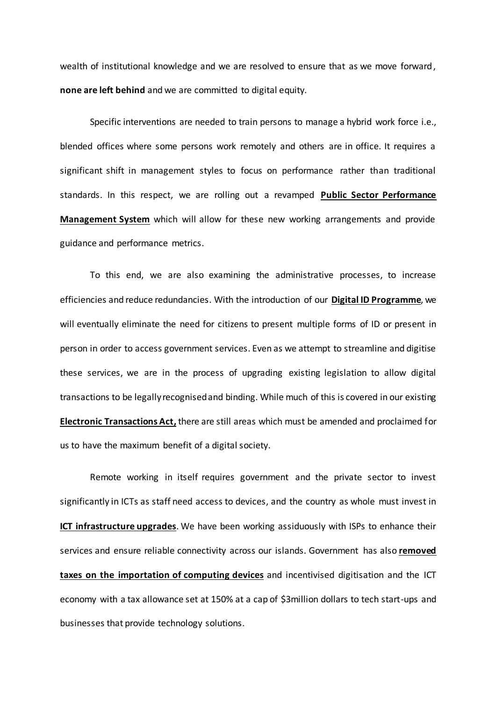wealth of institutional knowledge and we are resolved to ensure that as we move forward, **none are left behind** and we are committed to digital equity.

Specific interventions are needed to train persons to manage a hybrid work force i.e., blended offices where some persons work remotely and others are in office. It requires a significant shift in management styles to focus on performance rather than traditional standards. In this respect, we are rolling out a revamped **Public Sector Performance Management System** which will allow for these new working arrangements and provide guidance and performance metrics.

To this end, we are also examining the administrative processes, to increase efficiencies and reduce redundancies. With the introduction of our **Digital ID Programme**, we will eventually eliminate the need for citizens to present multiple forms of ID or present in person in order to access government services. Even as we attempt to streamline and digitise these services, we are in the process of upgrading existing legislation to allow digital transactions to be legally recognised and binding. While much of this is covered in our existing **Electronic Transactions Act,** there are still areas which must be amended and proclaimed for us to have the maximum benefit of a digital society.

Remote working in itself requires government and the private sector to invest significantly in ICTs as staff need access to devices, and the country as whole must invest in **ICT infrastructure upgrades**. We have been working assiduously with ISPs to enhance their services and ensure reliable connectivity across our islands. Government has also **removed taxes on the importation of computing devices** and incentivised digitisation and the ICT economy with a tax allowance set at 150% at a cap of \$3million dollars to tech start-ups and businesses that provide technology solutions.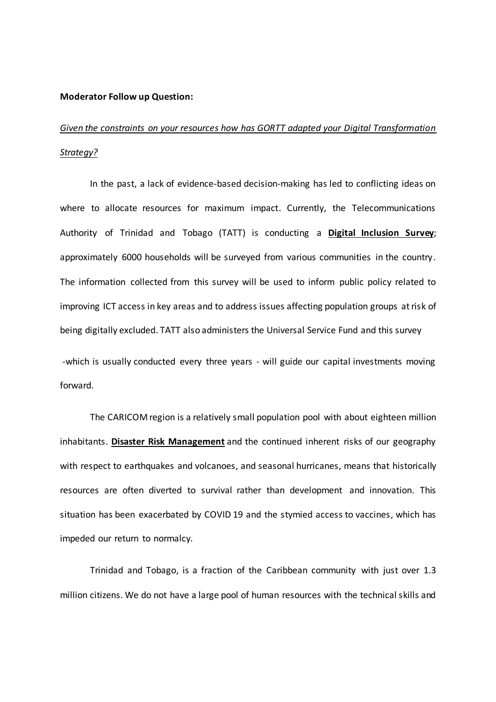#### **Moderator Follow up Question:**

## *Given the constraints on your resources how has GORTT adapted your Digital Transformation Strategy?*

In the past, a lack of evidence-based decision-making has led to conflicting ideas on where to allocate resources for maximum impact. Currently, the Telecommunications Authority of Trinidad and Tobago (TATT) is conducting a **Digital Inclusion Survey**; approximately 6000 households will be surveyed from various communities in the country. The information collected from this survey will be used to inform public policy related to improving ICT access in key areas and to address issues affecting population groups at risk of being digitally excluded. TATT also administers the Universal Service Fund and this survey

-which is usually conducted every three years - will guide our capital investments moving forward.

The CARICOM region is a relatively small population pool with about eighteen million inhabitants. **Disaster Risk Management** and the continued inherent risks of our geography with respect to earthquakes and volcanoes, and seasonal hurricanes, means that historically resources are often diverted to survival rather than development and innovation. This situation has been exacerbated by COVID 19 and the stymied access to vaccines, which has impeded our return to normalcy.

Trinidad and Tobago, is a fraction of the Caribbean community with just over 1.3 million citizens. We do not have a large pool of human resources with the technical skills and